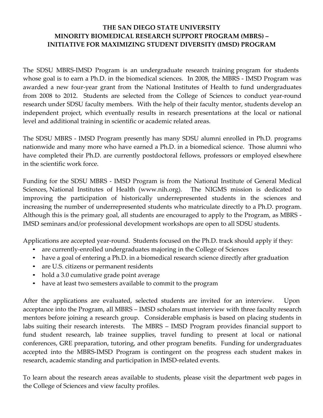## **THE SAN DIEGO STATE UNIVERSITY MINORITY BIOMEDICAL RESEARCH SUPPORT PROGRAM (MBRS) – INITIATIVE FOR MAXIMIZING STUDENT DIVERSITY (IMSD) PROGRAM**

The SDSU MBRS-IMSD Program is an undergraduate research training program for students whose goal is to earn a Ph.D. in the biomedical sciences. In 2008, the MBRS - IMSD Program was awarded a new four-year grant from the National Institutes of Health to fund undergraduates from 2008 to 2012. Students are selected from the College of Sciences to conduct year-round research under SDSU faculty members. With the help of their faculty mentor, students develop an independent project, which eventually results in research presentations at the local or national level and additional training in scientific or academic related areas.

The SDSU MBRS - IMSD Program presently has many SDSU alumni enrolled in Ph.D. programs nationwide and many more who have earned a Ph.D. in a biomedical science. Those alumni who have completed their Ph.D. are currently postdoctoral fellows, professors or employed elsewhere in the scientific work force.

Funding for the SDSU MBRS - IMSD Program is from the National Institute of General Medical Sciences, National Institutes of Health (www.nih.org). The NIGMS mission is dedicated to improving the participation of historically underrepresented students in the sciences and increasing the number of underrepresented students who matriculate directly to a Ph.D. program. Although this is the primary goal, all students are encouraged to apply to the Program, as MBRS - IMSD seminars and/or professional development workshops are open to all SDSU students.

Applications are accepted year-round. Students focused on the Ph.D. track should apply if they:

- are currently-enrolled undergraduates majoring in the College of Sciences
- have a goal of entering a Ph.D. in a biomedical research science directly after graduation
- are U.S. citizens or permanent residents
- hold a 3.0 cumulative grade point average
- have at least two semesters available to commit to the program

After the applications are evaluated, selected students are invited for an interview. Upon acceptance into the Program, all MBRS – IMSD scholars must interview with three faculty research mentors before joining a research group. Considerable emphasis is based on placing students in labs suiting their research interests. The MBRS – IMSD Program provides financial support to fund student research, lab trainee supplies, travel funding to present at local or national conferences, GRE preparation, tutoring, and other program benefits. Funding for undergraduates accepted into the MBRS-IMSD Program is contingent on the progress each student makes in research, academic standing and participation in IMSD-related events.

To learn about the research areas available to students, please visit the department web pages in the College of Sciences and view faculty profiles.